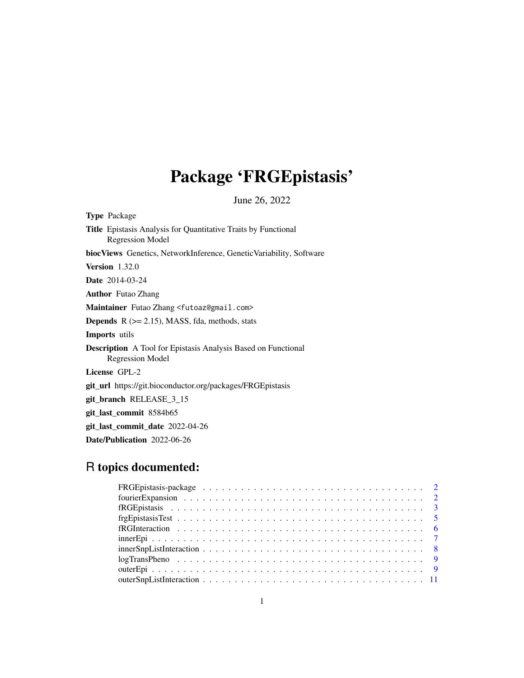# Package 'FRGEpistasis'

June 26, 2022

| <b>Type Package</b>                                                                       |
|-------------------------------------------------------------------------------------------|
| <b>Title</b> Epistasis Analysis for Quantitative Traits by Functional<br>Regression Model |
| <b>biocViews</b> Genetics, NetworkInference, GeneticVariability, Software                 |
| <b>Version</b> $1.32.0$                                                                   |
| <b>Date</b> 2014-03-24                                                                    |
| <b>Author</b> Futao Zhang                                                                 |
| Maintainer Futao Zhang <futoaz@gmail.com></futoaz@gmail.com>                              |
| <b>Depends</b> $R$ ( $>= 2.15$ ), MASS, fda, methods, stats                               |
| <b>Imports</b> utils                                                                      |
| <b>Description</b> A Tool for Epistasis Analysis Based on Functional<br>Regression Model  |
| License GPL-2                                                                             |
| git_url_https://git.bioconductor.org/packages/FRGEpistasis                                |
| git branch RELEASE 3 15                                                                   |
| git_last_commit 8584b65                                                                   |
| git_last_commit_date 2022-04-26                                                           |

Date/Publication 2022-06-26

## R topics documented: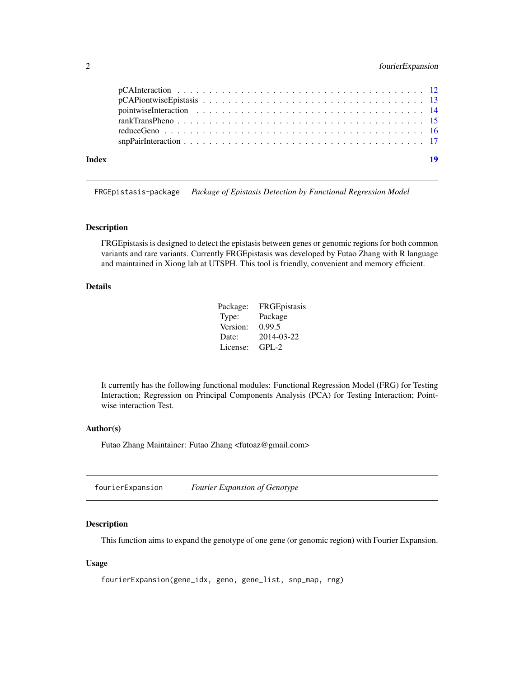## <span id="page-1-0"></span>2 fourierExpansion

| Index | 19 |
|-------|----|
|       |    |
|       |    |
|       |    |

FRGEpistasis-package *Package of Epistasis Detection by Functional Regression Model*

## Description

FRGEpistasis is designed to detect the epistasis between genes or genomic regions for both common variants and rare variants. Currently FRGEpistasis was developed by Futao Zhang with R language and maintained in Xiong lab at UTSPH. This tool is friendly, convenient and memory efficient.

## Details

| Package: | FRGEpistasis |
|----------|--------------|
| Type:    | Package      |
| Version: | 0.99.5       |
| Date:    | 2014-03-22   |
| License: | $GPL-2$      |

It currently has the following functional modules: Functional Regression Model (FRG) for Testing Interaction; Regression on Principal Components Analysis (PCA) for Testing Interaction; Pointwise interaction Test.

#### Author(s)

Futao Zhang Maintainer: Futao Zhang <futoaz@gmail.com>

fourierExpansion *Fourier Expansion of Genotype*

#### Description

This function aims to expand the genotype of one gene (or genomic region) with Fourier Expansion.

#### Usage

```
fourierExpansion(gene_idx, geno, gene_list, snp_map, rng)
```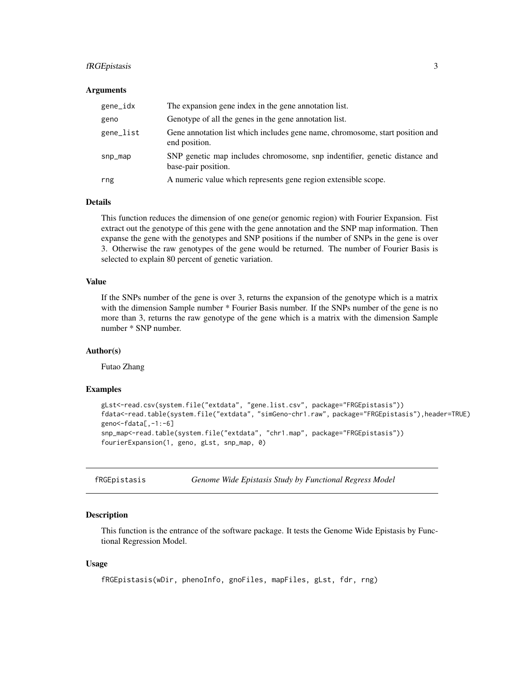## <span id="page-2-0"></span>fRGEpistasis 3

#### Arguments

| gene_idx  | The expansion gene index in the gene annotation list.                                             |
|-----------|---------------------------------------------------------------------------------------------------|
| geno      | Genotype of all the genes in the gene annotation list.                                            |
| gene_list | Gene annotation list which includes gene name, chromosome, start position and<br>end position.    |
| $snp_map$ | SNP genetic map includes chromosome, snp indentifier, genetic distance and<br>base-pair position. |
| rng       | A numeric value which represents gene region extensible scope.                                    |

## Details

This function reduces the dimension of one gene(or genomic region) with Fourier Expansion. Fist extract out the genotype of this gene with the gene annotation and the SNP map information. Then expanse the gene with the genotypes and SNP positions if the number of SNPs in the gene is over 3. Otherwise the raw genotypes of the gene would be returned. The number of Fourier Basis is selected to explain 80 percent of genetic variation.

## Value

If the SNPs number of the gene is over 3, returns the expansion of the genotype which is a matrix with the dimension Sample number  $*$  Fourier Basis number. If the SNPs number of the gene is no more than 3, returns the raw genotype of the gene which is a matrix with the dimension Sample number \* SNP number.

#### Author(s)

Futao Zhang

#### Examples

```
gLst<-read.csv(system.file("extdata", "gene.list.csv", package="FRGEpistasis"))
fdata<-read.table(system.file("extdata", "simGeno-chr1.raw", package="FRGEpistasis"),header=TRUE)
geno<-fdata[,-1:-6]
snp_map<-read.table(system.file("extdata", "chr1.map", package="FRGEpistasis"))
fourierExpansion(1, geno, gLst, snp_map, 0)
```
fRGEpistasis *Genome Wide Epistasis Study by Functional Regress Model*

#### **Description**

This function is the entrance of the software package. It tests the Genome Wide Epistasis by Functional Regression Model.

#### Usage

```
fRGEpistasis(wDir, phenoInfo, gnoFiles, mapFiles, gLst, fdr, rng)
```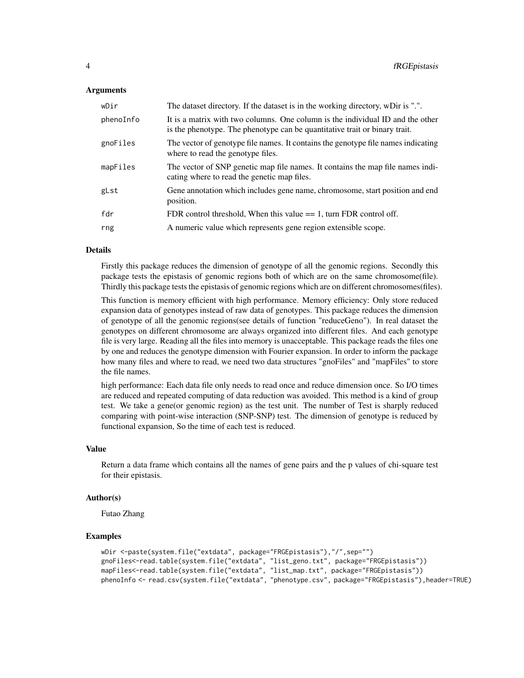#### Arguments

| wDir      | The dataset directory. If the dataset is in the working directory, wDir is ".".                                                                              |
|-----------|--------------------------------------------------------------------------------------------------------------------------------------------------------------|
| phenoInfo | It is a matrix with two columns. One column is the individual ID and the other<br>is the phenotype. The phenotype can be quantitative trait or binary trait. |
| gnoFiles  | The vector of genotype file names. It contains the genotype file names indicating<br>where to read the genotype files.                                       |
| mapFiles  | The vector of SNP genetic map file names. It contains the map file names indi-<br>cating where to read the genetic map files.                                |
| gLst      | Gene annotation which includes gene name, chromosome, start position and end<br>position.                                                                    |
| fdr       | FDR control threshold, When this value $== 1$ , turn FDR control off.                                                                                        |
| rng       | A numeric value which represents gene region extensible scope.                                                                                               |

#### Details

Firstly this package reduces the dimension of genotype of all the genomic regions. Secondly this package tests the epistasis of genomic regions both of which are on the same chromosome(file). Thirdly this package tests the epistasis of genomic regions which are on different chromosomes(files).

This function is memory efficient with high performance. Memory efficiency: Only store reduced expansion data of genotypes instead of raw data of genotypes. This package reduces the dimension of genotype of all the genomic regions(see details of function "reduceGeno"). In real dataset the genotypes on different chromosome are always organized into different files. And each genotype file is very large. Reading all the files into memory is unacceptable. This package reads the files one by one and reduces the genotype dimension with Fourier expansion. In order to inform the package how many files and where to read, we need two data structures "gnoFiles" and "mapFiles" to store the file names.

high performance: Each data file only needs to read once and reduce dimension once. So I/O times are reduced and repeated computing of data reduction was avoided. This method is a kind of group test. We take a gene(or genomic region) as the test unit. The number of Test is sharply reduced comparing with point-wise interaction (SNP-SNP) test. The dimension of genotype is reduced by functional expansion, So the time of each test is reduced.

#### Value

Return a data frame which contains all the names of gene pairs and the p values of chi-square test for their epistasis.

#### Author(s)

Futao Zhang

```
wDir <-paste(system.file("extdata", package="FRGEpistasis"),"/",sep="")
gnoFiles<-read.table(system.file("extdata", "list_geno.txt", package="FRGEpistasis"))
mapFiles<-read.table(system.file("extdata", "list_map.txt", package="FRGEpistasis"))
phenoInfo <- read.csv(system.file("extdata", "phenotype.csv", package="FRGEpistasis"),header=TRUE)
```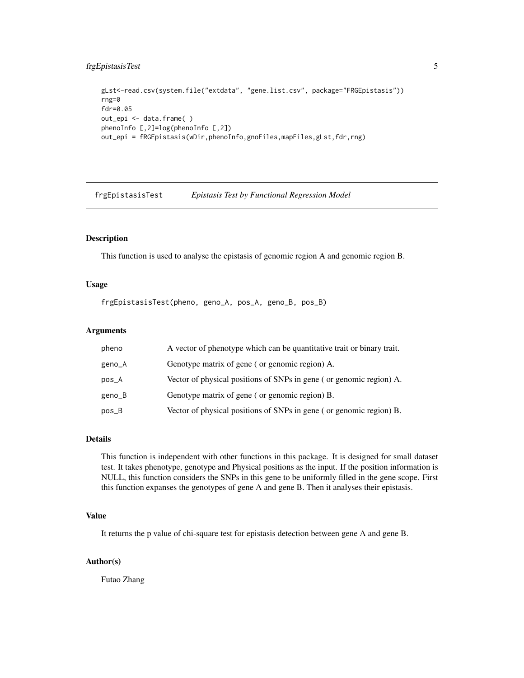## <span id="page-4-0"></span>frgEpistasisTest 5

```
gLst<-read.csv(system.file("extdata", "gene.list.csv", package="FRGEpistasis"))
rng=0
fdr=0.05
out_epi <- data.frame( )
phenoInfo [,2]=log(phenoInfo [,2])
out_epi = fRGEpistasis(wDir,phenoInfo,gnoFiles,mapFiles,gLst,fdr,rng)
```
frgEpistasisTest *Epistasis Test by Functional Regression Model*

## Description

This function is used to analyse the epistasis of genomic region A and genomic region B.

#### Usage

frgEpistasisTest(pheno, geno\_A, pos\_A, geno\_B, pos\_B)

## Arguments

| pheno  | A vector of phenotype which can be quantitative trait or binary trait. |
|--------|------------------------------------------------------------------------|
| geno_A | Genotype matrix of gene (or genomic region) A.                         |
| pos_A  | Vector of physical positions of SNPs in gene (or genomic region) A.    |
| geno_B | Genotype matrix of gene (or genomic region) B.                         |
| pos_B  | Vector of physical positions of SNPs in gene (or genomic region) B.    |

## Details

This function is independent with other functions in this package. It is designed for small dataset test. It takes phenotype, genotype and Physical positions as the input. If the position information is NULL, this function considers the SNPs in this gene to be uniformly filled in the gene scope. First this function expanses the genotypes of gene A and gene B. Then it analyses their epistasis.

## Value

It returns the p value of chi-square test for epistasis detection between gene A and gene B.

## Author(s)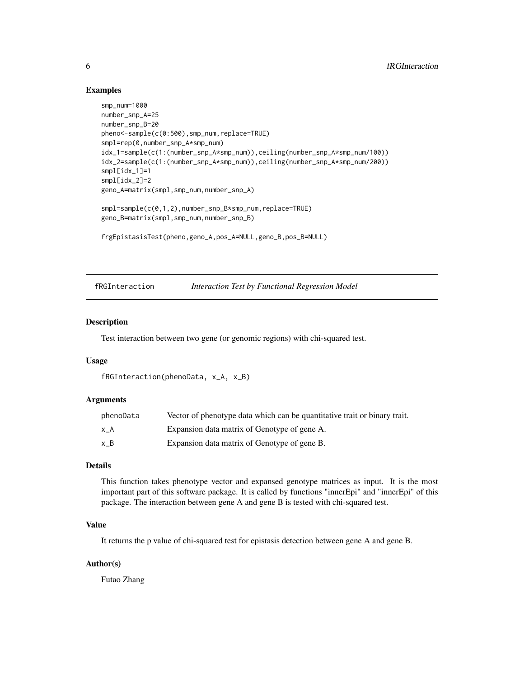## Examples

```
smp_num=1000
number_snp_A=25
number_snp_B=20
pheno<-sample(c(0:500),smp_num,replace=TRUE)
smpl=rep(0,number_snp_A*smp_num)
idx_1=sample(c(1:(number_snp_A*smp_num)),ceiling(number_snp_A*smp_num/100))
idx_2=sample(c(1:(number_snp_A*smp_num)),ceiling(number_snp_A*smp_num/200))
smpl[idx_1]=1
smpl[idx_2]=2
geno_A=matrix(smpl,smp_num,number_snp_A)
smpl=sample(c(0,1,2),number_snp_B*smp_num,replace=TRUE)
geno_B=matrix(smpl,smp_num,number_snp_B)
frgEpistasisTest(pheno,geno_A,pos_A=NULL,geno_B,pos_B=NULL)
```
fRGInteraction *Interaction Test by Functional Regression Model*

#### Description

Test interaction between two gene (or genomic regions) with chi-squared test.

#### Usage

```
fRGInteraction(phenoData, x_A, x_B)
```
#### Arguments

| phenoData | Vector of phenotype data which can be quantitative trait or binary trait. |
|-----------|---------------------------------------------------------------------------|
| x A       | Expansion data matrix of Genotype of gene A.                              |
| хB        | Expansion data matrix of Genotype of gene B.                              |

#### Details

This function takes phenotype vector and expansed genotype matrices as input. It is the most important part of this software package. It is called by functions "innerEpi" and "innerEpi" of this package. The interaction between gene A and gene B is tested with chi-squared test.

## Value

It returns the p value of chi-squared test for epistasis detection between gene A and gene B.

#### Author(s)

<span id="page-5-0"></span>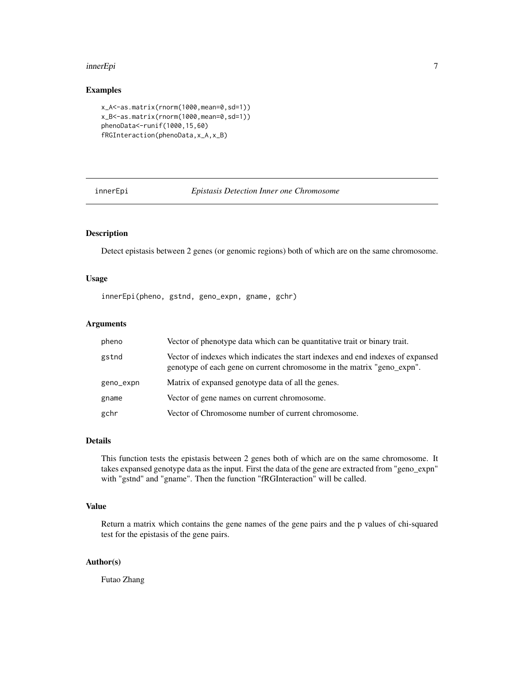#### <span id="page-6-0"></span>innerEpi 7

## Examples

```
x_A<-as.matrix(rnorm(1000,mean=0,sd=1))
x_B<-as.matrix(rnorm(1000,mean=0,sd=1))
phenoData<-runif(1000,15,60)
fRGInteraction(phenoData,x_A,x_B)
```
innerEpi *Epistasis Detection Inner one Chromosome*

#### Description

Detect epistasis between 2 genes (or genomic regions) both of which are on the same chromosome.

## Usage

innerEpi(pheno, gstnd, geno\_expn, gname, gchr)

## Arguments

| pheno     | Vector of phenotype data which can be quantitative trait or binary trait.                                                                                 |
|-----------|-----------------------------------------------------------------------------------------------------------------------------------------------------------|
| gstnd     | Vector of indexes which indicates the start indexes and end indexes of expansed<br>genotype of each gene on current chromosome in the matrix "geno_expn". |
| geno_expn | Matrix of expansed genotype data of all the genes.                                                                                                        |
| gname     | Vector of gene names on current chromosome.                                                                                                               |
| gchr      | Vector of Chromosome number of current chromosome.                                                                                                        |

## Details

This function tests the epistasis between 2 genes both of which are on the same chromosome. It takes expansed genotype data as the input. First the data of the gene are extracted from "geno\_expn" with "gstnd" and "gname". Then the function "fRGInteraction" will be called.

#### Value

Return a matrix which contains the gene names of the gene pairs and the p values of chi-squared test for the epistasis of the gene pairs.

#### Author(s)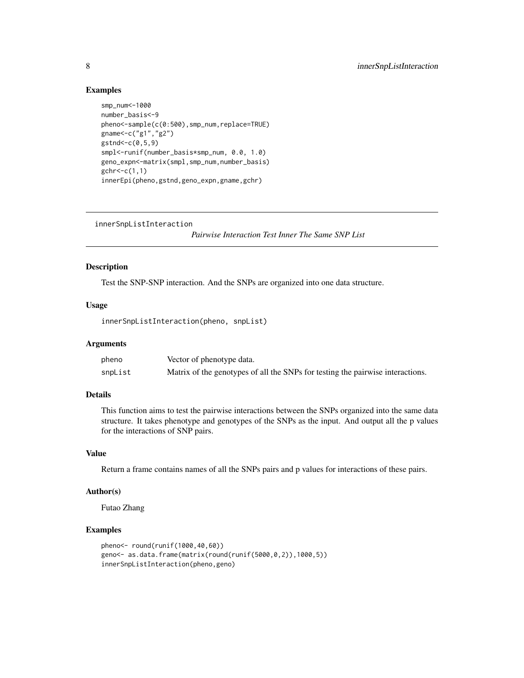#### Examples

```
smp_num<-1000
number_basis<-9
pheno<-sample(c(0:500),smp_num,replace=TRUE)
gname<-c("g1","g2")
gstad<-c(0,5,9)smpl<-runif(number_basis*smp_num, 0.0, 1.0)
geno_expn<-matrix(smpl,smp_num,number_basis)
gchr < -c(1,1)innerEpi(pheno,gstnd,geno_expn,gname,gchr)
```
innerSnpListInteraction

*Pairwise Interaction Test Inner The Same SNP List*

#### Description

Test the SNP-SNP interaction. And the SNPs are organized into one data structure.

## Usage

```
innerSnpListInteraction(pheno, snpList)
```
#### **Arguments**

| pheno   | Vector of phenotype data.                                                      |
|---------|--------------------------------------------------------------------------------|
| snpList | Matrix of the genotypes of all the SNPs for testing the pairwise interactions. |

## Details

This function aims to test the pairwise interactions between the SNPs organized into the same data structure. It takes phenotype and genotypes of the SNPs as the input. And output all the p values for the interactions of SNP pairs.

#### Value

Return a frame contains names of all the SNPs pairs and p values for interactions of these pairs.

## Author(s)

Futao Zhang

```
pheno<- round(runif(1000,40,60))
geno<- as.data.frame(matrix(round(runif(5000,0,2)),1000,5))
innerSnpListInteraction(pheno,geno)
```
<span id="page-7-0"></span>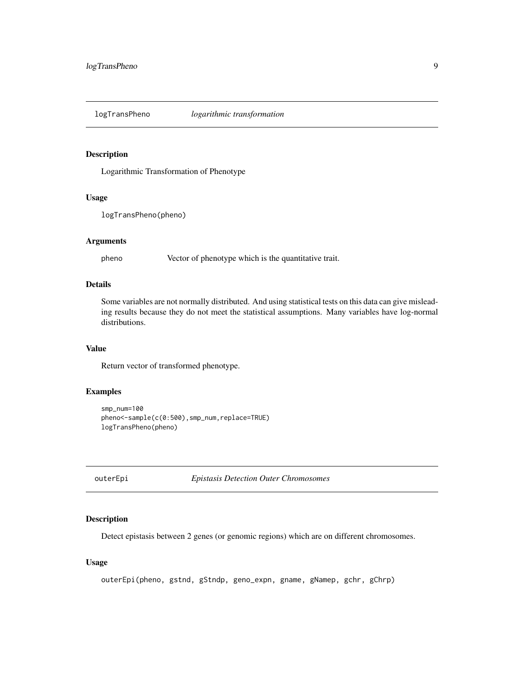<span id="page-8-0"></span>

## Description

Logarithmic Transformation of Phenotype

## Usage

logTransPheno(pheno)

#### Arguments

pheno Vector of phenotype which is the quantitative trait.

#### Details

Some variables are not normally distributed. And using statistical tests on this data can give misleading results because they do not meet the statistical assumptions. Many variables have log-normal distributions.

## Value

Return vector of transformed phenotype.

## Examples

```
smp_num=100
pheno<-sample(c(0:500),smp_num,replace=TRUE)
logTransPheno(pheno)
```
outerEpi *Epistasis Detection Outer Chromosomes*

#### Description

Detect epistasis between 2 genes (or genomic regions) which are on different chromosomes.

#### Usage

```
outerEpi(pheno, gstnd, gStndp, geno_expn, gname, gNamep, gchr, gChrp)
```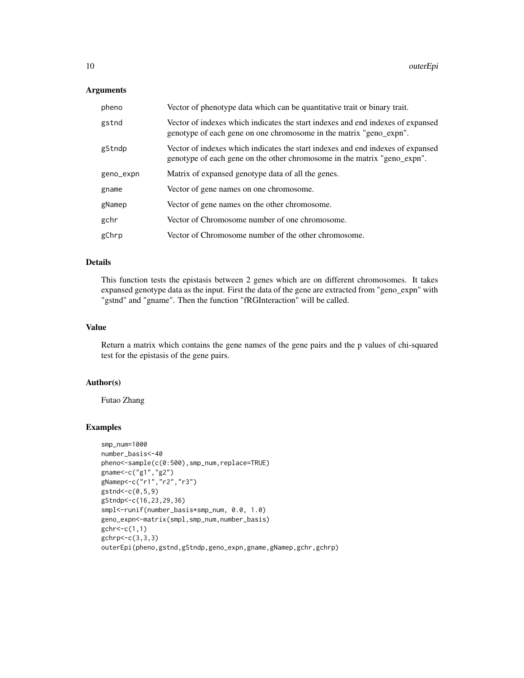#### Arguments

| pheno     | Vector of phenotype data which can be quantitative trait or binary trait.                                                                                   |
|-----------|-------------------------------------------------------------------------------------------------------------------------------------------------------------|
| gstnd     | Vector of indexes which indicates the start indexes and end indexes of expansed<br>genotype of each gene on one chromosome in the matrix "geno_expn".       |
| gStndp    | Vector of indexes which indicates the start indexes and end indexes of expansed<br>genotype of each gene on the other chromosome in the matrix "geno_expn". |
| geno_expn | Matrix of expansed genotype data of all the genes.                                                                                                          |
| gname     | Vector of gene names on one chromosome.                                                                                                                     |
| gNamep    | Vector of gene names on the other chromosome.                                                                                                               |
| gchr      | Vector of Chromosome number of one chromosome.                                                                                                              |
| gChrp     | Vector of Chromosome number of the other chromosome.                                                                                                        |

#### Details

This function tests the epistasis between 2 genes which are on different chromosomes. It takes expansed genotype data as the input. First the data of the gene are extracted from "geno\_expn" with "gstnd" and "gname". Then the function "fRGInteraction" will be called.

## Value

Return a matrix which contains the gene names of the gene pairs and the p values of chi-squared test for the epistasis of the gene pairs.

## Author(s)

Futao Zhang

```
smp_num=1000
number_basis<-40
pheno<-sample(c(0:500),smp_num,replace=TRUE)
gname<-c("g1","g2")
gNamep<-c("r1","r2","r3")
gstnd<-c(0,5,9)
gStndp<-c(16,23,29,36)
smpl<-runif(number_basis*smp_num, 0.0, 1.0)
geno_expn<-matrix(smpl,smp_num,number_basis)
gchr < -c(1,1)gchrp < -c(3,3,3)outerEpi(pheno,gstnd,gStndp,geno_expn,gname,gNamep,gchr,gchrp)
```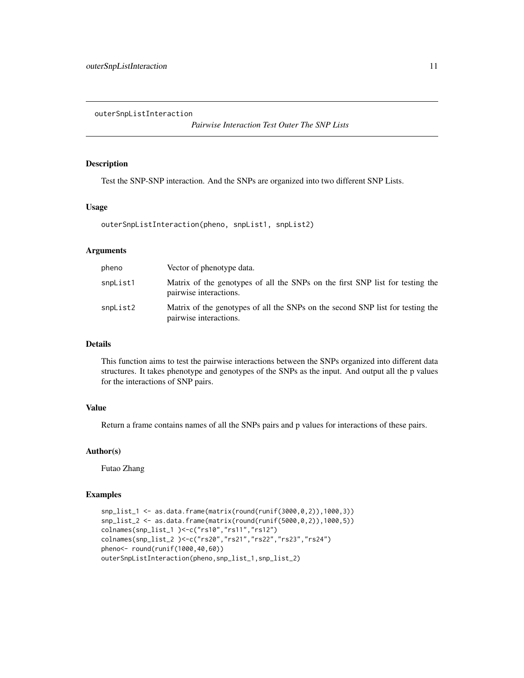<span id="page-10-0"></span>outerSnpListInteraction

*Pairwise Interaction Test Outer The SNP Lists*

#### Description

Test the SNP-SNP interaction. And the SNPs are organized into two different SNP Lists.

## Usage

outerSnpListInteraction(pheno, snpList1, snpList2)

## Arguments

| pheno    | Vector of phenotype data.                                                                                |
|----------|----------------------------------------------------------------------------------------------------------|
| snpList1 | Matrix of the genotypes of all the SNPs on the first SNP list for testing the<br>pairwise interactions.  |
| snpList2 | Matrix of the genotypes of all the SNPs on the second SNP list for testing the<br>pairwise interactions. |

## Details

This function aims to test the pairwise interactions between the SNPs organized into different data structures. It takes phenotype and genotypes of the SNPs as the input. And output all the p values for the interactions of SNP pairs.

## Value

Return a frame contains names of all the SNPs pairs and p values for interactions of these pairs.

## Author(s)

Futao Zhang

```
snp_list_1 <- as.data.frame(matrix(round(runif(3000,0,2)),1000,3))
snp_list_2 <- as.data.frame(matrix(round(runif(5000,0,2)),1000,5))
colnames(snp_list_1 )<-c("rs10","rs11","rs12")
colnames(snp_list_2 )<-c("rs20","rs21","rs22","rs23","rs24")
pheno<- round(runif(1000,40,60))
outerSnpListInteraction(pheno,snp_list_1,snp_list_2)
```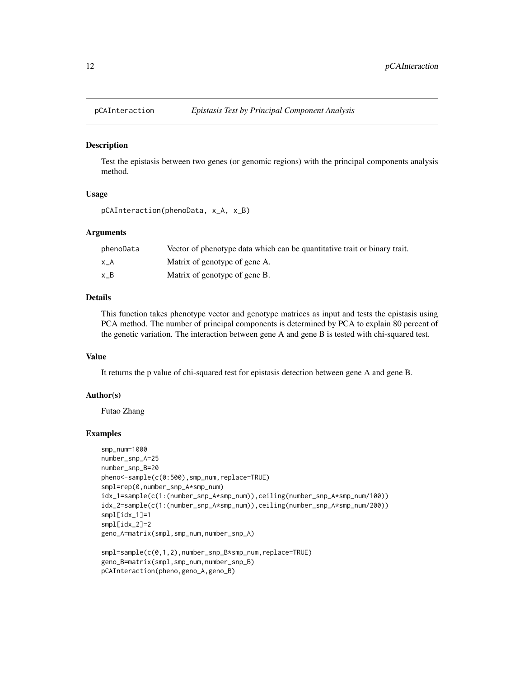<span id="page-11-0"></span>

#### Description

Test the epistasis between two genes (or genomic regions) with the principal components analysis method.

#### Usage

```
pCAInteraction(phenoData, x_A, x_B)
```
#### Arguments

| phenoData | Vector of phenotype data which can be quantitative trait or binary trait. |
|-----------|---------------------------------------------------------------------------|
| хA        | Matrix of genotype of gene A.                                             |
| хB        | Matrix of genotype of gene B.                                             |

## Details

This function takes phenotype vector and genotype matrices as input and tests the epistasis using PCA method. The number of principal components is determined by PCA to explain 80 percent of the genetic variation. The interaction between gene A and gene B is tested with chi-squared test.

#### Value

It returns the p value of chi-squared test for epistasis detection between gene A and gene B.

#### Author(s)

Futao Zhang

```
smp_num=1000
number_snp_A=25
number_snp_B=20
pheno<-sample(c(0:500),smp_num,replace=TRUE)
smpl=rep(0,number_snp_A*smp_num)
idx_1=sample(c(1:(number_snp_A*smp_num)),ceiling(number_snp_A*smp_num/100))
idx_2=sample(c(1:(number_snp_A*smp_num)),ceiling(number_snp_A*smp_num/200))
smpl[idx_1]=1
smpl[idx_2]=2
geno_A=matrix(smpl,smp_num,number_snp_A)
```

```
smpl=sample(c(0,1,2),number_snp_B*smp_num,replace=TRUE)
geno_B=matrix(smpl,smp_num,number_snp_B)
pCAInteraction(pheno,geno_A,geno_B)
```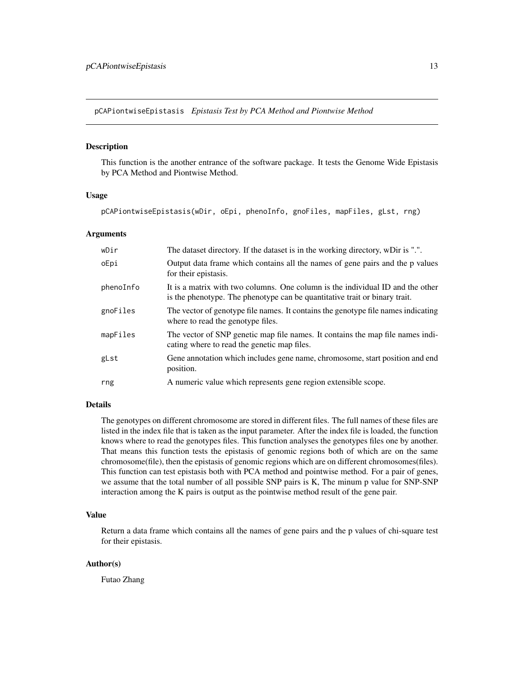<span id="page-12-0"></span>pCAPiontwiseEpistasis *Epistasis Test by PCA Method and Piontwise Method*

#### Description

This function is the another entrance of the software package. It tests the Genome Wide Epistasis by PCA Method and Piontwise Method.

#### Usage

pCAPiontwiseEpistasis(wDir, oEpi, phenoInfo, gnoFiles, mapFiles, gLst, rng)

#### Arguments

| wDir      | The dataset directory. If the dataset is in the working directory, wDir is ".".                                                                              |
|-----------|--------------------------------------------------------------------------------------------------------------------------------------------------------------|
| oEpi      | Output data frame which contains all the names of gene pairs and the p values<br>for their epistasis.                                                        |
| phenoInfo | It is a matrix with two columns. One column is the individual ID and the other<br>is the phenotype. The phenotype can be quantitative trait or binary trait. |
| gnoFiles  | The vector of genotype file names. It contains the genotype file names indicating<br>where to read the genotype files.                                       |
| mapFiles  | The vector of SNP genetic map file names. It contains the map file names indi-<br>cating where to read the genetic map files.                                |
| gLst      | Gene annotation which includes gene name, chromosome, start position and end<br>position.                                                                    |
| rng       | A numeric value which represents gene region extensible scope.                                                                                               |

## Details

The genotypes on different chromosome are stored in different files. The full names of these files are listed in the index file that is taken as the input parameter. After the index file is loaded, the function knows where to read the genotypes files. This function analyses the genotypes files one by another. That means this function tests the epistasis of genomic regions both of which are on the same chromosome(file), then the epistasis of genomic regions which are on different chromosomes(files). This function can test epistasis both with PCA method and pointwise method. For a pair of genes, we assume that the total number of all possible SNP pairs is K, The minum p value for SNP-SNP interaction among the K pairs is output as the pointwise method result of the gene pair.

## Value

Return a data frame which contains all the names of gene pairs and the p values of chi-square test for their epistasis.

#### Author(s)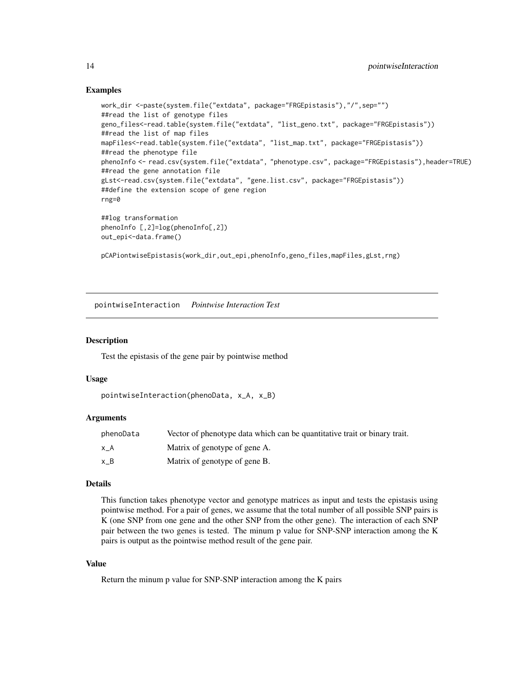#### Examples

```
work_dir <-paste(system.file("extdata", package="FRGEpistasis"),"/",sep="")
##read the list of genotype files
geno_files<-read.table(system.file("extdata", "list_geno.txt", package="FRGEpistasis"))
##read the list of map files
mapFiles<-read.table(system.file("extdata", "list_map.txt", package="FRGEpistasis"))
##read the phenotype file
phenoInfo <- read.csv(system.file("extdata", "phenotype.csv", package="FRGEpistasis"),header=TRUE)
##read the gene annotation file
gLst<-read.csv(system.file("extdata", "gene.list.csv", package="FRGEpistasis"))
##define the extension scope of gene region
rng=0
##log transformation
phenoInfo [,2]=log(phenoInfo[,2])
out_epi<-data.frame()
pCAPiontwiseEpistasis(work_dir,out_epi,phenoInfo,geno_files,mapFiles,gLst,rng)
```
pointwiseInteraction *Pointwise Interaction Test*

#### Description

Test the epistasis of the gene pair by pointwise method

#### Usage

```
pointwiseInteraction(phenoData, x_A, x_B)
```
#### Arguments

| phenoData | Vector of phenotype data which can be quantitative trait or binary trait. |
|-----------|---------------------------------------------------------------------------|
| хA        | Matrix of genotype of gene A.                                             |
| хB        | Matrix of genotype of gene B.                                             |

#### Details

This function takes phenotype vector and genotype matrices as input and tests the epistasis using pointwise method. For a pair of genes, we assume that the total number of all possible SNP pairs is K (one SNP from one gene and the other SNP from the other gene). The interaction of each SNP pair between the two genes is tested. The minum p value for SNP-SNP interaction among the K pairs is output as the pointwise method result of the gene pair.

#### Value

Return the minum p value for SNP-SNP interaction among the K pairs

<span id="page-13-0"></span>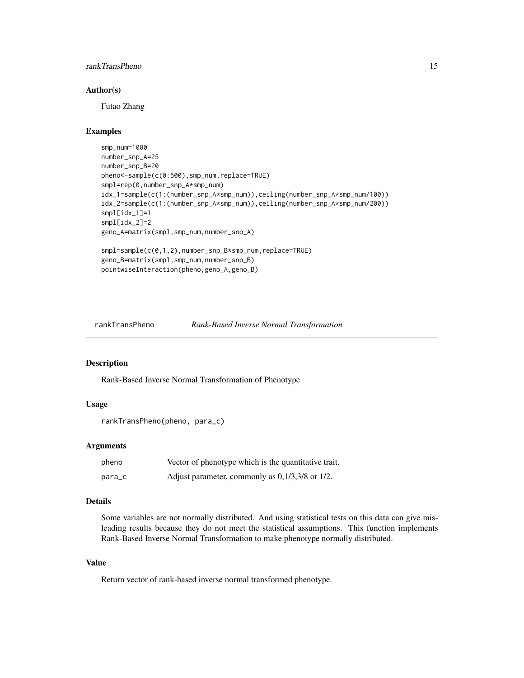## <span id="page-14-0"></span>rankTransPheno 15

#### Author(s)

Futao Zhang

## Examples

```
smp_num=1000
number_snp_A=25
number_snp_B=20
pheno<-sample(c(0:500),smp_num,replace=TRUE)
smpl=rep(0,number_snp_A*smp_num)
idx_1=sample(c(1:(number_snp_A*smp_num)),ceiling(number_snp_A*smp_num/100))
idx_2=sample(c(1:(number_snp_A*smp_num)),ceiling(number_snp_A*smp_num/200))
smpl[idx_1]=1
smpl[idx_2]=2
geno_A=matrix(smpl,smp_num,number_snp_A)
smpl=sample(c(0,1,2),number_snp_B*smp_num,replace=TRUE)
```

```
geno_B=matrix(smpl,smp_num,number_snp_B)
pointwiseInteraction(pheno,geno_A,geno_B)
```
rankTransPheno *Rank-Based Inverse Normal Transformation*

#### Description

Rank-Based Inverse Normal Transformation of Phenotype

## Usage

```
rankTransPheno(pheno, para_c)
```
## Arguments

| pheno  | Vector of phenotype which is the quantitative trait. |
|--------|------------------------------------------------------|
| para_c | Adjust parameter, commonly as $0,1/3,3/8$ or $1/2$ . |

#### Details

Some variables are not normally distributed. And using statistical tests on this data can give misleading results because they do not meet the statistical assumptions. This function implements Rank-Based Inverse Normal Transformation to make phenotype normally distributed.

#### Value

Return vector of rank-based inverse normal transformed phenotype.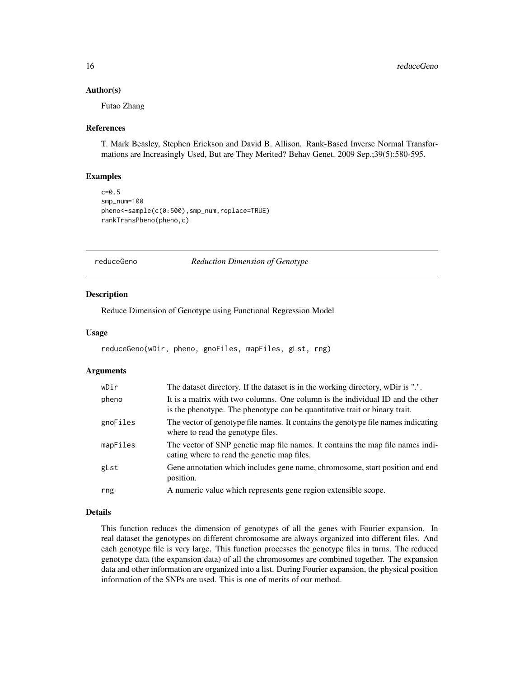#### <span id="page-15-0"></span>Author(s)

Futao Zhang

#### References

T. Mark Beasley, Stephen Erickson and David B. Allison. Rank-Based Inverse Normal Transformations are Increasingly Used, But are They Merited? Behav Genet. 2009 Sep.;39(5):580-595.

#### Examples

```
c=0.5
smp_num=100
pheno<-sample(c(0:500),smp_num,replace=TRUE)
rankTransPheno(pheno,c)
```
reduceGeno *Reduction Dimension of Genotype*

#### Description

Reduce Dimension of Genotype using Functional Regression Model

#### Usage

```
reduceGeno(wDir, pheno, gnoFiles, mapFiles, gLst, rng)
```
#### Arguments

| wDir     | The dataset directory. If the dataset is in the working directory, wDir is ".".                                                                              |
|----------|--------------------------------------------------------------------------------------------------------------------------------------------------------------|
| pheno    | It is a matrix with two columns. One column is the individual ID and the other<br>is the phenotype. The phenotype can be quantitative trait or binary trait. |
| gnoFiles | The vector of genotype file names. It contains the genotype file names indicating<br>where to read the genotype files.                                       |
| mapFiles | The vector of SNP genetic map file names. It contains the map file names indi-<br>cating where to read the genetic map files.                                |
| gLst     | Gene annotation which includes gene name, chromosome, start position and end<br>position.                                                                    |
| rng      | A numeric value which represents gene region extensible scope.                                                                                               |

## Details

This function reduces the dimension of genotypes of all the genes with Fourier expansion. In real dataset the genotypes on different chromosome are always organized into different files. And each genotype file is very large. This function processes the genotype files in turns. The reduced genotype data (the expansion data) of all the chromosomes are combined together. The expansion data and other information are organized into a list. During Fourier expansion, the physical position information of the SNPs are used. This is one of merits of our method.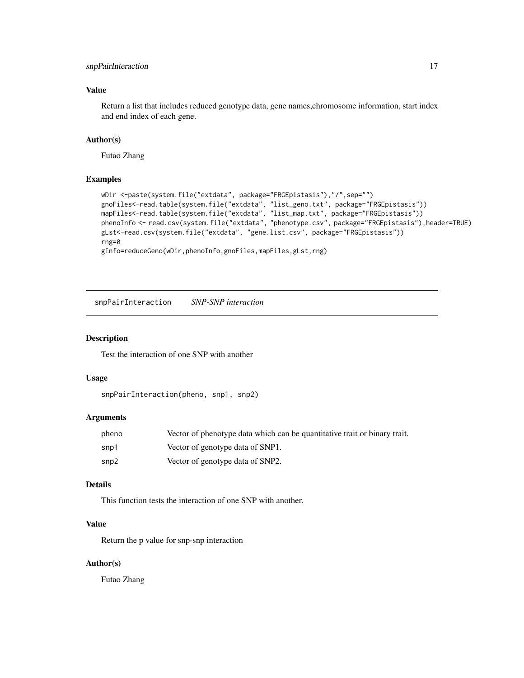## <span id="page-16-0"></span>snpPairInteraction 17

## Value

Return a list that includes reduced genotype data, gene names,chromosome information, start index and end index of each gene.

#### Author(s)

Futao Zhang

## Examples

```
wDir <-paste(system.file("extdata", package="FRGEpistasis"),"/",sep="")
gnoFiles<-read.table(system.file("extdata", "list_geno.txt", package="FRGEpistasis"))
mapFiles<-read.table(system.file("extdata", "list_map.txt", package="FRGEpistasis"))
phenoInfo <- read.csv(system.file("extdata", "phenotype.csv", package="FRGEpistasis"),header=TRUE)
gLst<-read.csv(system.file("extdata", "gene.list.csv", package="FRGEpistasis"))
rng=0
gInfo=reduceGeno(wDir,phenoInfo,gnoFiles,mapFiles,gLst,rng)
```
snpPairInteraction *SNP-SNP interaction*

#### Description

Test the interaction of one SNP with another

#### Usage

```
snpPairInteraction(pheno, snp1, snp2)
```
## Arguments

| pheno | Vector of phenotype data which can be quantitative trait or binary trait. |
|-------|---------------------------------------------------------------------------|
| snp1  | Vector of genotype data of SNP1.                                          |
| snp2  | Vector of genotype data of SNP2.                                          |

## Details

This function tests the interaction of one SNP with another.

## Value

Return the p value for snp-snp interaction

## Author(s)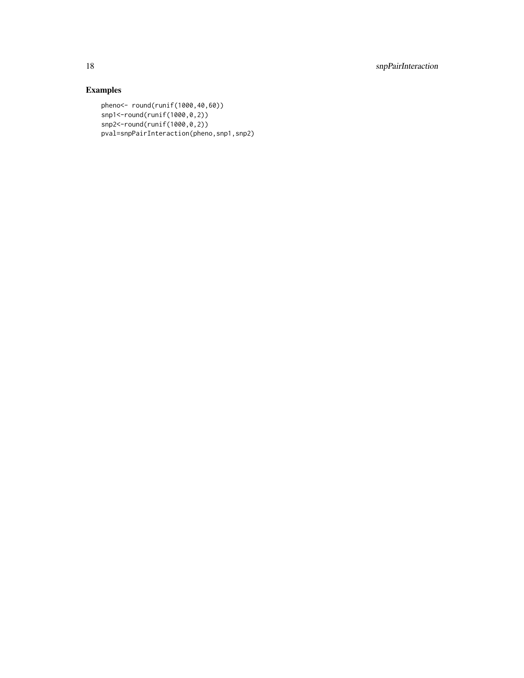18 snpPairInteraction

```
pheno<- round(runif(1000,40,60))
snp1<-round(runif(1000,0,2))
snp2<-round(runif(1000,0,2))
pval=snpPairInteraction(pheno,snp1,snp2)
```